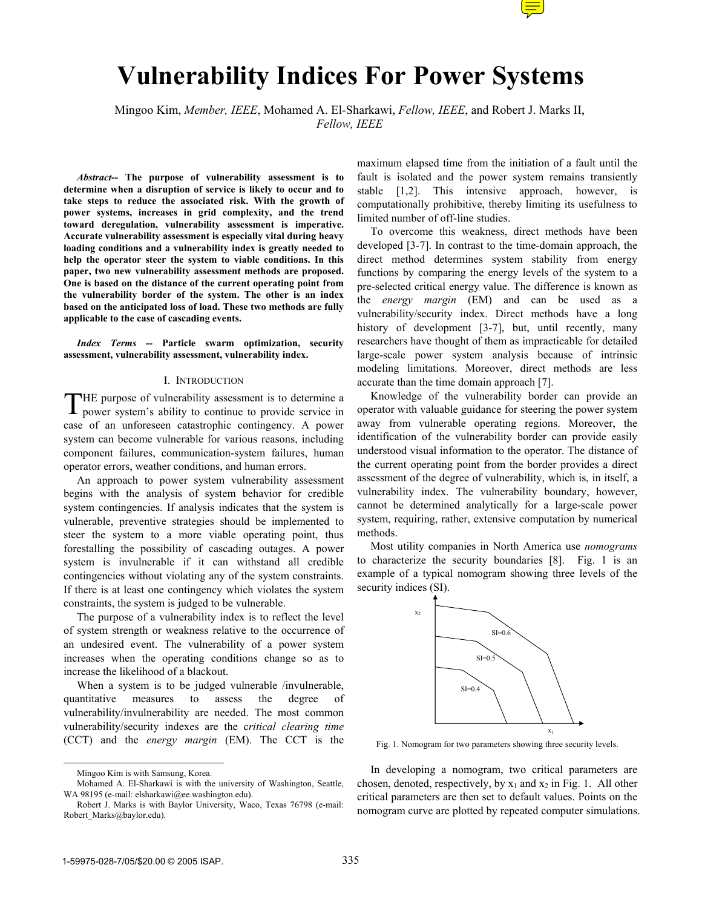

# **Vulnerability Indices For Power Systems**

Mingoo Kim, *Member, IEEE*, Mohamed A. El-Sharkawi, *Fellow, IEEE*, and Robert J. Marks II, *Fellow, IEEE*

*Abstract***-- The purpose of vulnerability assessment is to determine when a disruption of service is likely to occur and to take steps to reduce the associated risk. With the growth of power systems, increases in grid complexity, and the trend toward deregulation, vulnerability assessment is imperative. Accurate vulnerability assessment is especially vital during heavy loading conditions and a vulnerability index is greatly needed to help the operator steer the system to viable conditions. In this paper, two new vulnerability assessment methods are proposed. One is based on the distance of the current operating point from the vulnerability border of the system. The other is an index based on the anticipated loss of load. These two methods are fully applicable to the case of cascading events.** 

*Index Terms* **-- Particle swarm optimization, security assessment, vulnerability assessment, vulnerability index.** 

#### I. INTRODUCTION

THE purpose of vulnerability assessment is to determine a power system's ability to continue to provide service in power system's ability to continue to provide service in case of an unforeseen catastrophic contingency. A power system can become vulnerable for various reasons, including component failures, communication-system failures, human operator errors, weather conditions, and human errors.

An approach to power system vulnerability assessment begins with the analysis of system behavior for credible system contingencies. If analysis indicates that the system is vulnerable, preventive strategies should be implemented to steer the system to a more viable operating point, thus forestalling the possibility of cascading outages. A power system is invulnerable if it can withstand all credible contingencies without violating any of the system constraints. If there is at least one contingency which violates the system constraints, the system is judged to be vulnerable.

The purpose of a vulnerability index is to reflect the level of system strength or weakness relative to the occurrence of an undesired event. The vulnerability of a power system increases when the operating conditions change so as to increase the likelihood of a blackout.

When a system is to be judged vulnerable /invulnerable, quantitative measures to assess the degree of vulnerability/invulnerability are needed. The most common vulnerability/security indexes are the c*ritical clearing time* (CCT) and the *energy margin* (EM). The CCT is the

Mingoo Kim is with Samsung, Korea.

maximum elapsed time from the initiation of a fault until the fault is isolated and the power system remains transiently stable [1,2]. This intensive approach, however, is computationally prohibitive, thereby limiting its usefulness to limited number of off-line studies.

To overcome this weakness, direct methods have been developed [3-7]. In contrast to the time-domain approach, the direct method determines system stability from energy functions by comparing the energy levels of the system to a pre-selected critical energy value. The difference is known as the *energy margin* (EM) and can be used as a vulnerability/security index. Direct methods have a long history of development [3-7], but, until recently, many researchers have thought of them as impracticable for detailed large-scale power system analysis because of intrinsic modeling limitations. Moreover, direct methods are less accurate than the time domain approach [7].

Knowledge of the vulnerability border can provide an operator with valuable guidance for steering the power system away from vulnerable operating regions. Moreover, the identification of the vulnerability border can provide easily understood visual information to the operator. The distance of the current operating point from the border provides a direct assessment of the degree of vulnerability, which is, in itself, a vulnerability index. The vulnerability boundary, however, cannot be determined analytically for a large-scale power system, requiring, rather, extensive computation by numerical methods.

Most utility companies in North America use *nomograms* to characterize the security boundaries [8]. Fig. 1 is an example of a typical nomogram showing three levels of the security indices (SI).



Fig. 1. Nomogram for two parameters showing three security levels.

In developing a nomogram, two critical parameters are chosen, denoted, respectively, by  $x_1$  and  $x_2$  in Fig. 1. All other critical parameters are then set to default values. Points on the nomogram curve are plotted by repeated computer simulations.

Mohamed A. El-Sharkawi is with the university of Washington, Seattle, WA 98195 (e-mail: elsharkawi@ee.washington.edu).

Robert J. Marks is with Baylor University, Waco, Texas 76798 (e-mail: Robert\_Marks@baylor.edu).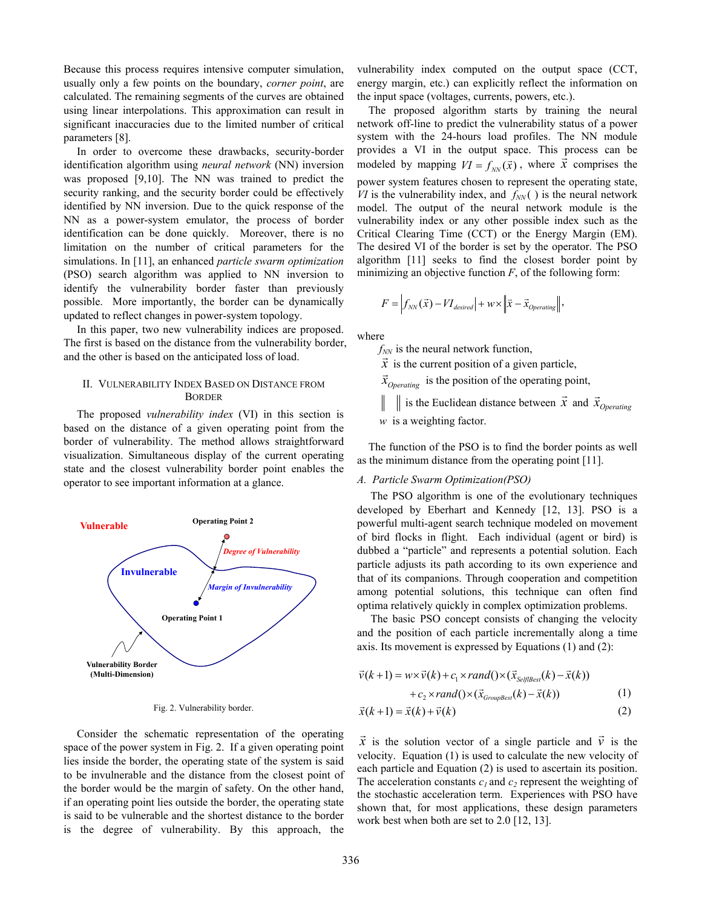Because this process requires intensive computer simulation, usually only a few points on the boundary, *corner point*, are calculated. The remaining segments of the curves are obtained using linear interpolations. This approximation can result in significant inaccuracies due to the limited number of critical parameters [8].

In order to overcome these drawbacks, security-border identification algorithm using *neural network* (NN) inversion was proposed [9,10]. The NN was trained to predict the security ranking, and the security border could be effectively identified by NN inversion. Due to the quick response of the NN as a power-system emulator, the process of border identification can be done quickly. Moreover, there is no limitation on the number of critical parameters for the simulations. In [11], an enhanced *particle swarm optimization* (PSO) search algorithm was applied to NN inversion to identify the vulnerability border faster than previously possible. More importantly, the border can be dynamically updated to reflect changes in power-system topology.

In this paper, two new vulnerability indices are proposed. The first is based on the distance from the vulnerability border, and the other is based on the anticipated loss of load.

# II. VULNERABILITY INDEX BASED ON DISTANCE FROM BORDER

The proposed *vulnerability index* (VI) in this section is based on the distance of a given operating point from the border of vulnerability. The method allows straightforward visualization. Simultaneous display of the current operating state and the closest vulnerability border point enables the operator to see important information at a glance.



Fig. 2. Vulnerability border.

Consider the schematic representation of the operating space of the power system in Fig. 2. If a given operating point lies inside the border, the operating state of the system is said to be invulnerable and the distance from the closest point of the border would be the margin of safety. On the other hand, if an operating point lies outside the border, the operating state is said to be vulnerable and the shortest distance to the border is the degree of vulnerability. By this approach, the

vulnerability index computed on the output space (CCT, energy margin, etc.) can explicitly reflect the information on the input space (voltages, currents, powers, etc.).

The proposed algorithm starts by training the neural network off-line to predict the vulnerability status of a power system with the 24-hours load profiles. The NN module provides a VI in the output space. This process can be modeled by mapping  $VI = f_{NN}(\vec{x})$ , where  $\vec{x}$  comprises the power system features chosen to represent the operating state, *VI* is the vulnerability index, and  $f_{NN}$  () is the neural network model. The output of the neural network module is the vulnerability index or any other possible index such as the Critical Clearing Time (CCT) or the Energy Margin (EM). The desired VI of the border is set by the operator. The PSO algorithm [11] seeks to find the closest border point by minimizing an objective function *F*, of the following form:

$$
F = \left| f_{NN}(\vec{x}) - VI_{desired} \right| + w \times \left\| \vec{x} - \vec{x}_{Operating} \right\|,
$$

where

 $f_{NN}$  is the neural network function,

 $\vec{x}$  is the current position of a given particle,

 $\vec{x}_{Operating}$  is the position of the operating point,

is the Euclidean distance between  $\vec{x}$  and  $\vec{x}_{Operating}$ *w* is a weighting factor.

The function of the PSO is to find the border points as well as the minimum distance from the operating point [11].

# *A. Particle Swarm Optimization(PSO)*

The PSO algorithm is one of the evolutionary techniques developed by Eberhart and Kennedy [12, 13]. PSO is a powerful multi-agent search technique modeled on movement of bird flocks in flight. Each individual (agent or bird) is dubbed a "particle" and represents a potential solution. Each particle adjusts its path according to its own experience and that of its companions. Through cooperation and competition among potential solutions, this technique can often find optima relatively quickly in complex optimization problems.

The basic PSO concept consists of changing the velocity and the position of each particle incrementally along a time axis. Its movement is expressed by Equations (1) and (2):

$$
\vec{v}(k+1) = w \times \vec{v}(k) + c_1 \times rand(\mathcal{X}_{\text{SelfBess}}(k) - \vec{x}(k)) \n+ c_2 \times rand(\mathcal{X}_{\text{GroupBess}}(k) - \vec{x}(k))
$$
\n(1)

$$
+c_2 \times rand(\times(\vec{x}_{GroupBest}(k) - \vec{x}(k)) \tag{1}
$$

$$
\vec{x}(k+1) = \vec{x}(k) + \vec{v}(k)
$$
\n(2)

 $\vec{x}$  is the solution vector of a single particle and  $\vec{v}$  is the velocity. Equation (1) is used to calculate the new velocity of each particle and Equation (2) is used to ascertain its position. The acceleration constants  $c_1$  and  $c_2$  represent the weighting of the stochastic acceleration term. Experiences with PSO have shown that, for most applications, these design parameters work best when both are set to 2.0 [12, 13].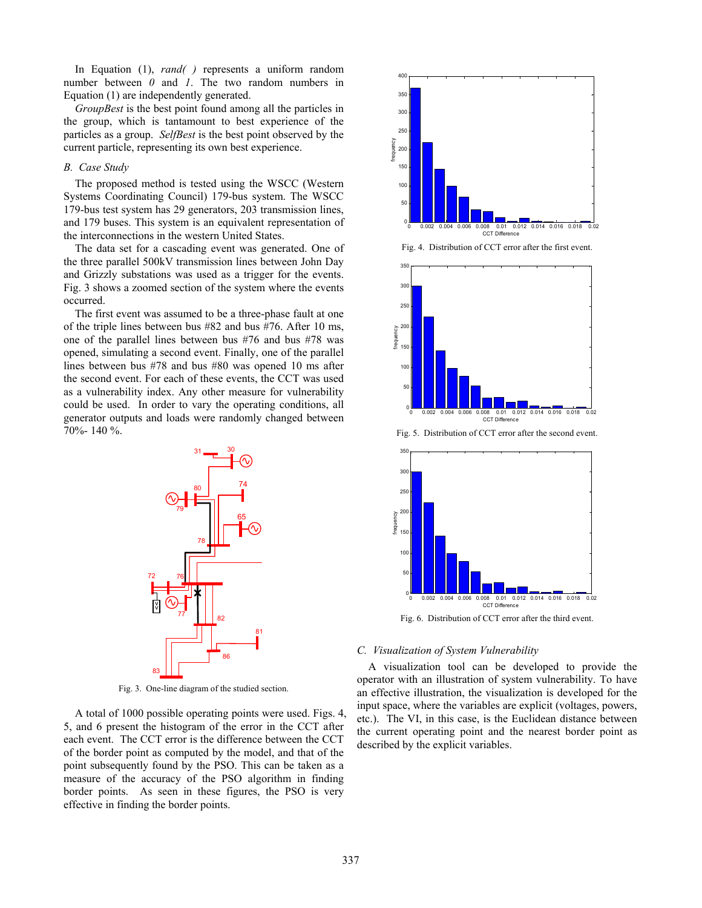In Equation (1), *rand( )* represents a uniform random number between *0* and *1*. The two random numbers in Equation (1) are independently generated.

*GroupBest* is the best point found among all the particles in the group, which is tantamount to best experience of the particles as a group. *SelfBest* is the best point observed by the current particle, representing its own best experience.

## *B. Case Study*

The proposed method is tested using the WSCC (Western Systems Coordinating Council) 179-bus system. The WSCC 179-bus test system has 29 generators, 203 transmission lines, and 179 buses. This system is an equivalent representation of the interconnections in the western United States.

The data set for a cascading event was generated. One of the three parallel 500kV transmission lines between John Day and Grizzly substations was used as a trigger for the events. Fig. 3 shows a zoomed section of the system where the events occurred.

The first event was assumed to be a three-phase fault at one of the triple lines between bus #82 and bus #76. After 10 ms, one of the parallel lines between bus #76 and bus #78 was opened, simulating a second event. Finally, one of the parallel lines between bus #78 and bus #80 was opened 10 ms after the second event. For each of these events, the CCT was used as a vulnerability index. Any other measure for vulnerability could be used. In order to vary the operating conditions, all generator outputs and loads were randomly changed between 70%- 140 %.



Fig. 3. One-line diagram of the studied section.

A total of 1000 possible operating points were used. Figs. 4, 5, and 6 present the histogram of the error in the CCT after each event. The CCT error is the difference between the CCT of the border point as computed by the model, and that of the point subsequently found by the PSO. This can be taken as a measure of the accuracy of the PSO algorithm in finding border points. As seen in these figures, the PSO is very effective in finding the border points.



Fig. 4. Distribution of CCT error after the first event.



Fig. 5. Distribution of CCT error after the second event.



Fig. 6. Distribution of CCT error after the third event.

#### *C. Visualization of System Vulnerability*

A visualization tool can be developed to provide the operator with an illustration of system vulnerability. To have an effective illustration, the visualization is developed for the input space, where the variables are explicit (voltages, powers, etc.). The VI, in this case, is the Euclidean distance between the current operating point and the nearest border point as described by the explicit variables.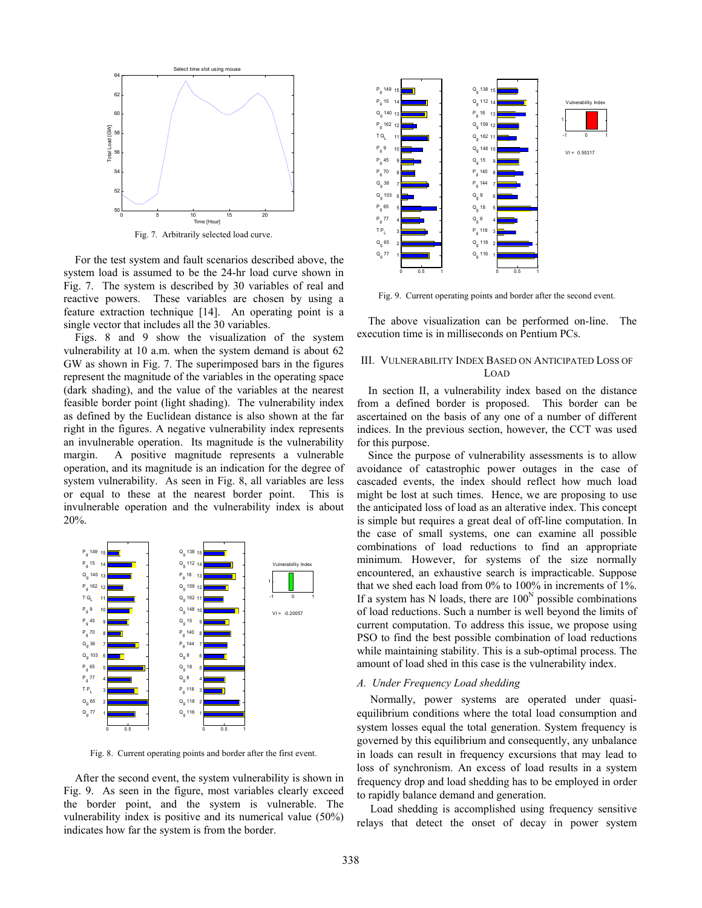

Fig. 7. Arbitrarily selected load curve.

For the test system and fault scenarios described above, the system load is assumed to be the 24-hr load curve shown in Fig. 7. The system is described by 30 variables of real and reactive powers. These variables are chosen by using a feature extraction technique [14]. An operating point is a single vector that includes all the 30 variables.

Figs. 8 and 9 show the visualization of the system vulnerability at 10 a.m. when the system demand is about 62 GW as shown in Fig. 7. The superimposed bars in the figures represent the magnitude of the variables in the operating space (dark shading), and the value of the variables at the nearest feasible border point (light shading). The vulnerability index as defined by the Euclidean distance is also shown at the far right in the figures. A negative vulnerability index represents an invulnerable operation. Its magnitude is the vulnerability margin. A positive magnitude represents a vulnerable operation, and its magnitude is an indication for the degree of system vulnerability. As seen in Fig. 8, all variables are less or equal to these at the nearest border point. This is invulnerable operation and the vulnerability index is about 20%.



Fig. 8. Current operating points and border after the first event.

After the second event, the system vulnerability is shown in Fig. 9. As seen in the figure, most variables clearly exceed the border point, and the system is vulnerable. The vulnerability index is positive and its numerical value (50%) indicates how far the system is from the border.



Fig. 9. Current operating points and border after the second event.

The above visualization can be performed on-line. The execution time is in milliseconds on Pentium PCs.

# III. VULNERABILITY INDEX BASED ON ANTICIPATED LOSS OF LOAD

In section II, a vulnerability index based on the distance from a defined border is proposed. This border can be ascertained on the basis of any one of a number of different indices. In the previous section, however, the CCT was used for this purpose.

Since the purpose of vulnerability assessments is to allow avoidance of catastrophic power outages in the case of cascaded events, the index should reflect how much load might be lost at such times. Hence, we are proposing to use the anticipated loss of load as an alterative index. This concept is simple but requires a great deal of off-line computation. In the case of small systems, one can examine all possible combinations of load reductions to find an appropriate minimum. However, for systems of the size normally encountered, an exhaustive search is impracticable. Suppose that we shed each load from 0% to 100% in increments of 1%. If a system has N loads, there are  $100<sup>N</sup>$  possible combinations of load reductions. Such a number is well beyond the limits of current computation. To address this issue, we propose using PSO to find the best possible combination of load reductions while maintaining stability. This is a sub-optimal process. The amount of load shed in this case is the vulnerability index.

#### *A. Under Frequency Load shedding*

Normally, power systems are operated under quasiequilibrium conditions where the total load consumption and system losses equal the total generation. System frequency is governed by this equilibrium and consequently, any unbalance in loads can result in frequency excursions that may lead to loss of synchronism. An excess of load results in a system frequency drop and load shedding has to be employed in order to rapidly balance demand and generation.

Load shedding is accomplished using frequency sensitive relays that detect the onset of decay in power system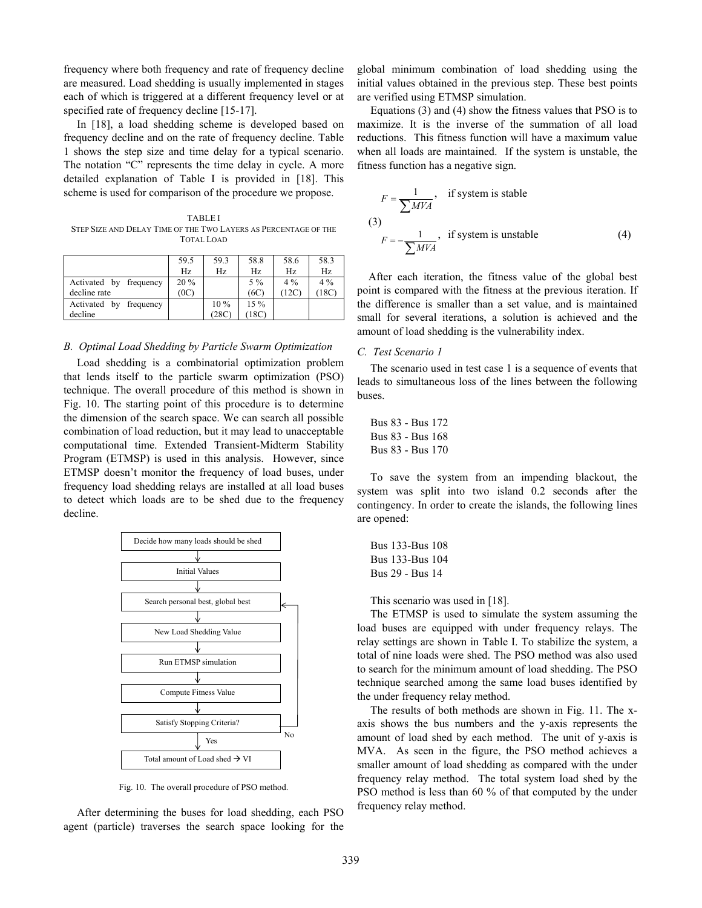frequency where both frequency and rate of frequency decline are measured. Load shedding is usually implemented in stages each of which is triggered at a different frequency level or at specified rate of frequency decline [15-17].

In [18], a load shedding scheme is developed based on frequency decline and on the rate of frequency decline. Table 1 shows the step size and time delay for a typical scenario. The notation "C" represents the time delay in cycle. A more detailed explanation of Table I is provided in [18]. This scheme is used for comparison of the procedure we propose.

TABLE I STEP SIZE AND DELAY TIME OF THE TWO LAYERS AS PERCENTAGE OF THE TOTAL LOAD

|                           | 59.5 | 59.3   | 58.8   | 58.6  | 58.3  |
|---------------------------|------|--------|--------|-------|-------|
|                           | Hz.  | Hz     | Hz     | Hz.   | Hz    |
| Activated by<br>frequency | 20%  |        | $5\%$  | $4\%$ | $4\%$ |
| decline rate              | (0C) |        | (6C    | 12C   | 18C   |
| Activated by<br>frequency |      | $10\%$ | $15\%$ |       |       |
| decline                   |      | (28C)  | (18C)  |       |       |

# *B. Optimal Load Shedding by Particle Swarm Optimization*

Load shedding is a combinatorial optimization problem that lends itself to the particle swarm optimization (PSO) technique. The overall procedure of this method is shown in Fig. 10. The starting point of this procedure is to determine the dimension of the search space. We can search all possible combination of load reduction, but it may lead to unacceptable computational time. Extended Transient-Midterm Stability Program (ETMSP) is used in this analysis. However, since ETMSP doesn't monitor the frequency of load buses, under frequency load shedding relays are installed at all load buses to detect which loads are to be shed due to the frequency decline.



Fig. 10. The overall procedure of PSO method.

After determining the buses for load shedding, each PSO agent (particle) traverses the search space looking for the

global minimum combination of load shedding using the initial values obtained in the previous step. These best points are verified using ETMSP simulation.

Equations (3) and (4) show the fitness values that PSO is to maximize. It is the inverse of the summation of all load reductions. This fitness function will have a maximum value when all loads are maintained. If the system is unstable, the fitness function has a negative sign.

$$
F = \frac{1}{\sum MVA}, \quad \text{if system is stable}
$$
  
(3)  

$$
F = -\frac{1}{\sum MVA}, \quad \text{if system is unstable}
$$
 (4)

After each iteration, the fitness value of the global best point is compared with the fitness at the previous iteration. If the difference is smaller than a set value, and is maintained small for several iterations, a solution is achieved and the amount of load shedding is the vulnerability index.

## *C. Test Scenario 1*

The scenario used in test case 1 is a sequence of events that leads to simultaneous loss of the lines between the following buses.

|  | Bus 83 - Bus 172 |  |
|--|------------------|--|
|  | Bus 83 - Bus 168 |  |
|  | Bus 83 - Bus 170 |  |

To save the system from an impending blackout, the system was split into two island 0.2 seconds after the contingency. In order to create the islands, the following lines are opened:

Bus 133-Bus 108 Bus 133-Bus 104 Bus 29 - Bus 14

This scenario was used in [18].

The ETMSP is used to simulate the system assuming the load buses are equipped with under frequency relays. The relay settings are shown in Table I. To stabilize the system, a total of nine loads were shed. The PSO method was also used to search for the minimum amount of load shedding. The PSO technique searched among the same load buses identified by the under frequency relay method.

The results of both methods are shown in Fig. 11. The xaxis shows the bus numbers and the y-axis represents the amount of load shed by each method. The unit of y-axis is MVA. As seen in the figure, the PSO method achieves a smaller amount of load shedding as compared with the under frequency relay method. The total system load shed by the PSO method is less than 60 % of that computed by the under frequency relay method.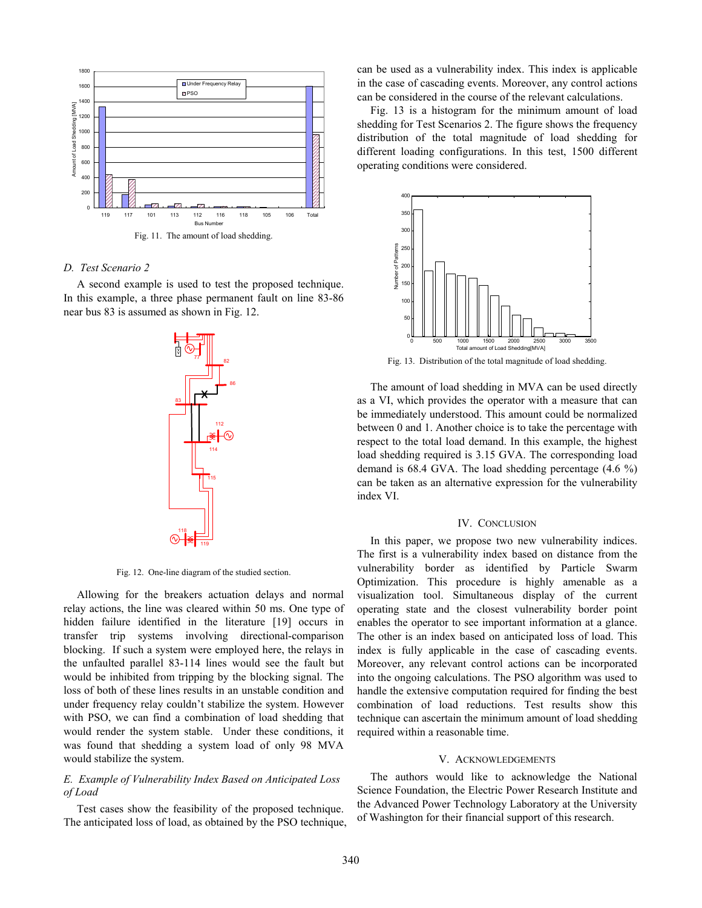

# *D. Test Scenario 2*

A second example is used to test the proposed technique. In this example, a three phase permanent fault on line 83-86 near bus 83 is assumed as shown in Fig. 12.



Fig. 12. One-line diagram of the studied section.

Allowing for the breakers actuation delays and normal relay actions, the line was cleared within 50 ms. One type of hidden failure identified in the literature [19] occurs in transfer trip systems involving directional-comparison blocking. If such a system were employed here, the relays in the unfaulted parallel 83-114 lines would see the fault but would be inhibited from tripping by the blocking signal. The loss of both of these lines results in an unstable condition and under frequency relay couldn't stabilize the system. However with PSO, we can find a combination of load shedding that would render the system stable. Under these conditions, it was found that shedding a system load of only 98 MVA would stabilize the system.

# *E. Example of Vulnerability Index Based on Anticipated Loss of Load*

Test cases show the feasibility of the proposed technique. The anticipated loss of load, as obtained by the PSO technique,

can be used as a vulnerability index. This index is applicable in the case of cascading events. Moreover, any control actions can be considered in the course of the relevant calculations.

Fig. 13 is a histogram for the minimum amount of load shedding for Test Scenarios 2. The figure shows the frequency distribution of the total magnitude of load shedding for different loading configurations. In this test, 1500 different operating conditions were considered.



Fig. 13. Distribution of the total magnitude of load shedding.

The amount of load shedding in MVA can be used directly as a VI, which provides the operator with a measure that can be immediately understood. This amount could be normalized between 0 and 1. Another choice is to take the percentage with respect to the total load demand. In this example, the highest load shedding required is 3.15 GVA. The corresponding load demand is 68.4 GVA. The load shedding percentage (4.6 %) can be taken as an alternative expression for the vulnerability index VI.

#### IV. CONCLUSION

In this paper, we propose two new vulnerability indices. The first is a vulnerability index based on distance from the vulnerability border as identified by Particle Swarm Optimization. This procedure is highly amenable as a visualization tool. Simultaneous display of the current operating state and the closest vulnerability border point enables the operator to see important information at a glance. The other is an index based on anticipated loss of load. This index is fully applicable in the case of cascading events. Moreover, any relevant control actions can be incorporated into the ongoing calculations. The PSO algorithm was used to handle the extensive computation required for finding the best combination of load reductions. Test results show this technique can ascertain the minimum amount of load shedding required within a reasonable time.

## V. ACKNOWLEDGEMENTS

The authors would like to acknowledge the National Science Foundation, the Electric Power Research Institute and the Advanced Power Technology Laboratory at the University of Washington for their financial support of this research.